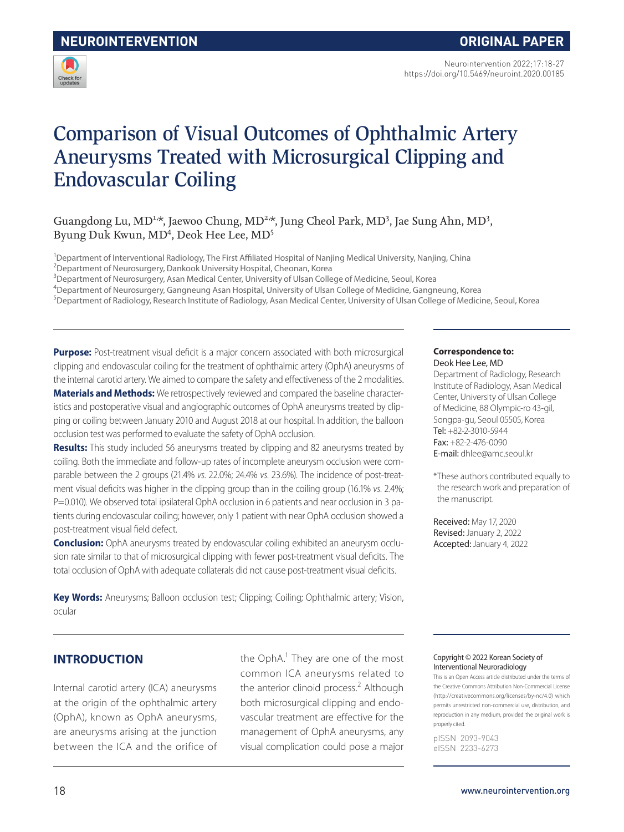

Neurointervention 2022;17:18-27 https://doi.org/10.5469/neuroint.2020.00185

# Comparison of Visual Outcomes of Ophthalmic Artery Aneurysms Treated with Microsurgical Clipping and Endovascular Coiling

Guangdong Lu, MD<sup>1,\*</sup>, Jaewoo Chung, MD<sup>2,\*</sup>, Jung Cheol Park, MD<sup>3</sup>, Jae Sung Ahn, MD<sup>3</sup>, Byung Duk Kwun, MD<sup>4</sup>, Deok Hee Lee, MD<sup>5</sup>

<sup>1</sup>Department of Interventional Radiology, The First Affiliated Hospital of Nanjing Medical University, Nanjing, China

<sup>2</sup>Department of Neurosurgery, Dankook University Hospital, Cheonan, Korea

3 Department of Neurosurgery, Asan Medical Center, University of Ulsan College of Medicine, Seoul, Korea

4 Department of Neurosurgery, Gangneung Asan Hospital, University of Ulsan College of Medicine, Gangneung, Korea

<sup>5</sup>Department of Radiology, Research Institute of Radiology, Asan Medical Center, University of Ulsan College of Medicine, Seoul, Korea

**Purpose:** Post-treatment visual deficit is a major concern associated with both microsurgical clipping and endovascular coiling for the treatment of ophthalmic artery (OphA) aneurysms of the internal carotid artery. We aimed to compare the safety and effectiveness of the 2 modalities. **Materials and Methods:** We retrospectively reviewed and compared the baseline characteristics and postoperative visual and angiographic outcomes of OphA aneurysms treated by clipping or coiling between January 2010 and August 2018 at our hospital. In addition, the balloon occlusion test was performed to evaluate the safety of OphA occlusion.

**Results:** This study included 56 aneurysms treated by clipping and 82 aneurysms treated by coiling. Both the immediate and follow-up rates of incomplete aneurysm occlusion were comparable between the 2 groups (21.4% *vs*. 22.0%; 24.4% *vs*. 23.6%). The incidence of post-treatment visual deficits was higher in the clipping group than in the coiling group (16.1% *vs*. 2.4%; P=0.010). We observed total ipsilateral OphA occlusion in 6 patients and near occlusion in 3 patients during endovascular coiling; however, only 1 patient with near OphA occlusion showed a post-treatment visual field defect.

**Conclusion:** OphA aneurysms treated by endovascular coiling exhibited an aneurysm occlusion rate similar to that of microsurgical clipping with fewer post-treatment visual deficits. The total occlusion of OphA with adequate collaterals did not cause post-treatment visual deficits.

**Key Words:** Aneurysms; Balloon occlusion test; Clipping; Coiling; Ophthalmic artery; Vision, ocular

### **INTRODUCTION**

Internal carotid artery (ICA) aneurysms at the origin of the ophthalmic artery (OphA), known as OphA aneurysms, are aneurysms arising at the junction between the ICA and the orifice of

the OphA.<sup>1</sup> They are one of the most common ICA aneurysms related to the anterior clinoid process.<sup>2</sup> Although both microsurgical clipping and endovascular treatment are effective for the management of OphA aneurysms, any visual complication could pose a major

#### **Correspondence to:** Deok Hee Lee, MD

Department of Radiology, Research Institute of Radiology, Asan Medical Center, University of Ulsan College of Medicine, 88 Olympic-ro 43-gil, Songpa-gu, Seoul 05505, Korea Tel: +82-2-3010-5944 Fax: +82-2-476-0090 E-mail: dhlee@amc.seoul.kr

\*These authors contributed equally to the research work and preparation of the manuscript.

Received: May 17, 2020 Revised: January 2, 2022 Accepted: January 4, 2022

#### Copyright © 2022 Korean Society of Interventional Neuroradiology

This is an Open Access article distributed under the terms of the Creative Commons Attribution Non-Commercial License (http://creativecommons.org/licenses/by-nc/4.0) which permits unrestricted non-commercial use, distribution, and reproduction in any medium, provided the original work is properly cited.

pISSN 2093-9043 eISSN 2233-6273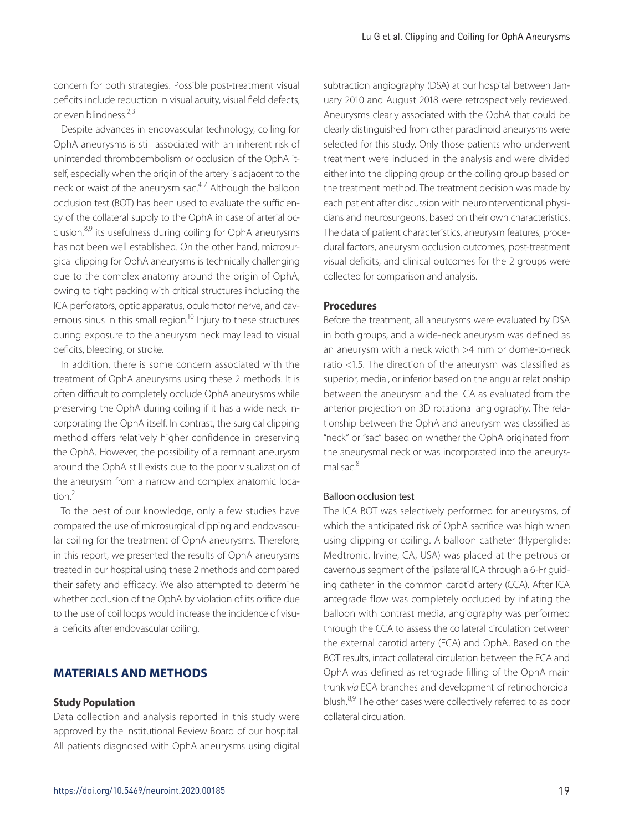concern for both strategies. Possible post-treatment visual deficits include reduction in visual acuity, visual field defects, or even blindness.2,3

Despite advances in endovascular technology, coiling for OphA aneurysms is still associated with an inherent risk of unintended thromboembolism or occlusion of the OphA itself, especially when the origin of the artery is adjacent to the neck or waist of the aneurysm sac.<sup>4-7</sup> Although the balloon occlusion test (BOT) has been used to evaluate the sufficiency of the collateral supply to the OphA in case of arterial occlusion, $89$  its usefulness during coiling for OphA aneurysms has not been well established. On the other hand, microsurgical clipping for OphA aneurysms is technically challenging due to the complex anatomy around the origin of OphA, owing to tight packing with critical structures including the ICA perforators, optic apparatus, oculomotor nerve, and cavernous sinus in this small region.<sup>10</sup> Injury to these structures during exposure to the aneurysm neck may lead to visual deficits, bleeding, or stroke.

In addition, there is some concern associated with the treatment of OphA aneurysms using these 2 methods. It is often difficult to completely occlude OphA aneurysms while preserving the OphA during coiling if it has a wide neck incorporating the OphA itself. In contrast, the surgical clipping method offers relatively higher confidence in preserving the OphA. However, the possibility of a remnant aneurysm around the OphA still exists due to the poor visualization of the aneurysm from a narrow and complex anatomic location $^2$ 

To the best of our knowledge, only a few studies have compared the use of microsurgical clipping and endovascular coiling for the treatment of OphA aneurysms. Therefore, in this report, we presented the results of OphA aneurysms treated in our hospital using these 2 methods and compared their safety and efficacy. We also attempted to determine whether occlusion of the OphA by violation of its orifice due to the use of coil loops would increase the incidence of visual deficits after endovascular coiling.

### **MATERIALS AND METHODS**

#### **Study Population**

Data collection and analysis reported in this study were approved by the Institutional Review Board of our hospital. All patients diagnosed with OphA aneurysms using digital

subtraction angiography (DSA) at our hospital between January 2010 and August 2018 were retrospectively reviewed. Aneurysms clearly associated with the OphA that could be clearly distinguished from other paraclinoid aneurysms were selected for this study. Only those patients who underwent treatment were included in the analysis and were divided either into the clipping group or the coiling group based on the treatment method. The treatment decision was made by each patient after discussion with neurointerventional physicians and neurosurgeons, based on their own characteristics. The data of patient characteristics, aneurysm features, procedural factors, aneurysm occlusion outcomes, post-treatment visual deficits, and clinical outcomes for the 2 groups were collected for comparison and analysis.

#### **Procedures**

Before the treatment, all aneurysms were evaluated by DSA in both groups, and a wide-neck aneurysm was defined as an aneurysm with a neck width >4 mm or dome-to-neck ratio <1.5. The direction of the aneurysm was classified as superior, medial, or inferior based on the angular relationship between the aneurysm and the ICA as evaluated from the anterior projection on 3D rotational angiography. The relationship between the OphA and aneurysm was classified as "neck" or "sac" based on whether the OphA originated from the aneurysmal neck or was incorporated into the aneurysmal sac.<sup>8</sup>

#### Balloon occlusion test

The ICA BOT was selectively performed for aneurysms, of which the anticipated risk of OphA sacrifice was high when using clipping or coiling. A balloon catheter (Hyperglide; Medtronic, Irvine, CA, USA) was placed at the petrous or cavernous segment of the ipsilateral ICA through a 6-Fr guiding catheter in the common carotid artery (CCA). After ICA antegrade flow was completely occluded by inflating the balloon with contrast media, angiography was performed through the CCA to assess the collateral circulation between the external carotid artery (ECA) and OphA. Based on the BOT results, intact collateral circulation between the ECA and OphA was defined as retrograde filling of the OphA main trunk *via* ECA branches and development of retinochoroidal blush.<sup>8,9</sup> The other cases were collectively referred to as poor collateral circulation.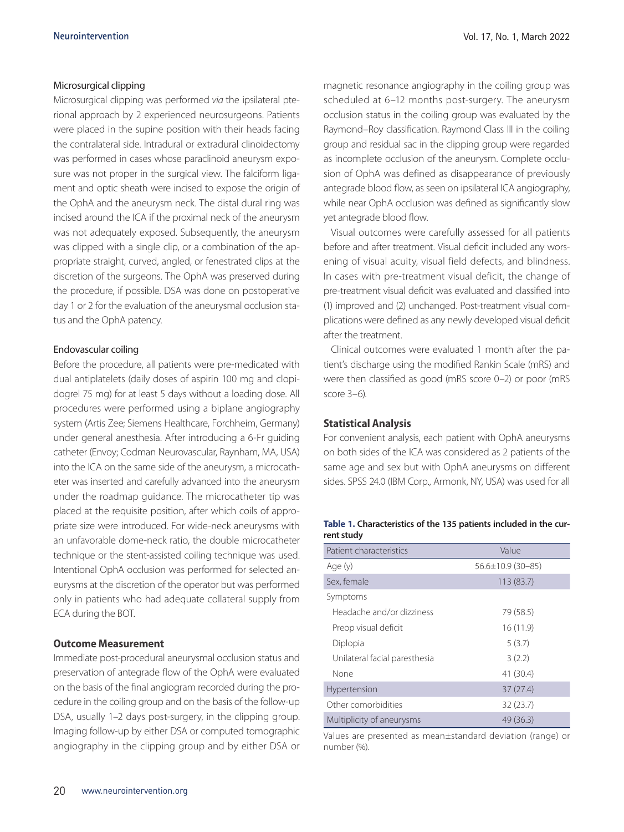#### Microsurgical clipping

Microsurgical clipping was performed *via* the ipsilateral pterional approach by 2 experienced neurosurgeons. Patients were placed in the supine position with their heads facing the contralateral side. Intradural or extradural clinoidectomy was performed in cases whose paraclinoid aneurysm exposure was not proper in the surgical view. The falciform ligament and optic sheath were incised to expose the origin of the OphA and the aneurysm neck. The distal dural ring was incised around the ICA if the proximal neck of the aneurysm was not adequately exposed. Subsequently, the aneurysm was clipped with a single clip, or a combination of the appropriate straight, curved, angled, or fenestrated clips at the discretion of the surgeons. The OphA was preserved during the procedure, if possible. DSA was done on postoperative day 1 or 2 for the evaluation of the aneurysmal occlusion status and the OphA patency.

#### Endovascular coiling

Before the procedure, all patients were pre-medicated with dual antiplatelets (daily doses of aspirin 100 mg and clopidogrel 75 mg) for at least 5 days without a loading dose. All procedures were performed using a biplane angiography system (Artis Zee; Siemens Healthcare, Forchheim, Germany) under general anesthesia. After introducing a 6-Fr guiding catheter (Envoy; Codman Neurovascular, Raynham, MA, USA) into the ICA on the same side of the aneurysm, a microcatheter was inserted and carefully advanced into the aneurysm under the roadmap guidance. The microcatheter tip was placed at the requisite position, after which coils of appropriate size were introduced. For wide-neck aneurysms with an unfavorable dome-neck ratio, the double microcatheter technique or the stent-assisted coiling technique was used. Intentional OphA occlusion was performed for selected aneurysms at the discretion of the operator but was performed only in patients who had adequate collateral supply from ECA during the BOT.

#### **Outcome Measurement**

Immediate post-procedural aneurysmal occlusion status and preservation of antegrade flow of the OphA were evaluated on the basis of the final angiogram recorded during the procedure in the coiling group and on the basis of the follow-up DSA, usually 1–2 days post-surgery, in the clipping group. Imaging follow-up by either DSA or computed tomographic angiography in the clipping group and by either DSA or

magnetic resonance angiography in the coiling group was scheduled at 6–12 months post-surgery. The aneurysm occlusion status in the coiling group was evaluated by the Raymond–Roy classification. Raymond Class III in the coiling group and residual sac in the clipping group were regarded as incomplete occlusion of the aneurysm. Complete occlusion of OphA was defined as disappearance of previously antegrade blood flow, as seen on ipsilateral ICA angiography, while near OphA occlusion was defined as significantly slow yet antegrade blood flow.

Visual outcomes were carefully assessed for all patients before and after treatment. Visual deficit included any worsening of visual acuity, visual field defects, and blindness. In cases with pre-treatment visual deficit, the change of pre-treatment visual deficit was evaluated and classified into (1) improved and (2) unchanged. Post-treatment visual complications were defined as any newly developed visual deficit after the treatment.

Clinical outcomes were evaluated 1 month after the patient's discharge using the modified Rankin Scale (mRS) and were then classified as good (mRS score 0–2) or poor (mRS score 3–6).

#### **Statistical Analysis**

For convenient analysis, each patient with OphA aneurysms on both sides of the ICA was considered as 2 patients of the same age and sex but with OphA aneurysms on different sides. SPSS 24.0 (IBM Corp., Armonk, NY, USA) was used for all

#### **Table 1. Characteristics of the 135 patients included in the current study**

| Patient characteristics       | Value                   |
|-------------------------------|-------------------------|
| Age (y)                       | $56.6 \pm 10.9$ (30-85) |
| Sex, female                   | 113(83.7)               |
| Symptoms                      |                         |
| Headache and/or dizziness     | 79 (58.5)               |
| Preop visual deficit          | 16(11.9)                |
| Diplopia                      | 5(3.7)                  |
| Unilateral facial paresthesia | 3(2.2)                  |
| None                          | 41 (30.4)               |
| Hypertension                  | 37(27.4)                |
| Other comorbidities           | 32 (23.7)               |
| Multiplicity of aneurysms     | 49 (36.3)               |

Values are presented as mean±standard deviation (range) or number (%).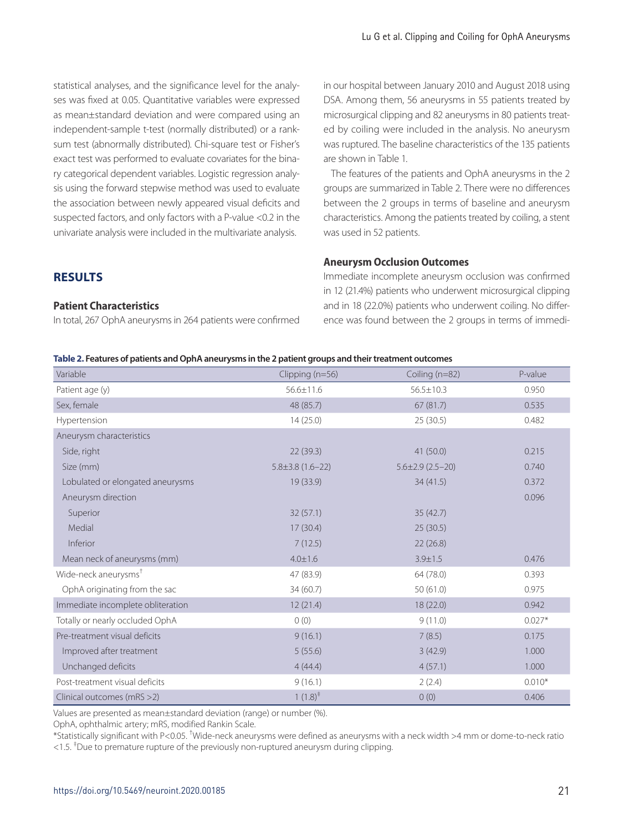statistical analyses, and the significance level for the analyses was fixed at 0.05. Quantitative variables were expressed as mean±standard deviation and were compared using an independent-sample t-test (normally distributed) or a ranksum test (abnormally distributed). Chi-square test or Fisher's exact test was performed to evaluate covariates for the binary categorical dependent variables. Logistic regression analysis using the forward stepwise method was used to evaluate the association between newly appeared visual deficits and suspected factors, and only factors with a P-value <0.2 in the univariate analysis were included in the multivariate analysis.

### **RESULTS**

#### **Patient Characteristics**

In total, 267 OphA aneurysms in 264 patients were confirmed

in our hospital between January 2010 and August 2018 using DSA. Among them, 56 aneurysms in 55 patients treated by microsurgical clipping and 82 aneurysms in 80 patients treated by coiling were included in the analysis. No aneurysm was ruptured. The baseline characteristics of the 135 patients are shown in Table 1.

The features of the patients and OphA aneurysms in the 2 groups are summarized in Table 2. There were no differences between the 2 groups in terms of baseline and aneurysm characteristics. Among the patients treated by coiling, a stent was used in 52 patients.

#### **Aneurysm Occlusion Outcomes**

Immediate incomplete aneurysm occlusion was confirmed in 12 (21.4%) patients who underwent microsurgical clipping and in 18 (22.0%) patients who underwent coiling. No difference was found between the 2 groups in terms of immedi-

| Variable                          | Clipping (n=56)        | Coiling (n=82)         | P-value  |
|-----------------------------------|------------------------|------------------------|----------|
| Patient age (y)                   | 56.6±11.6              | $56.5 \pm 10.3$        | 0.950    |
| Sex, female                       | 48 (85.7)              | 67(81.7)               | 0.535    |
| Hypertension                      | 14 (25.0)              | 25(30.5)               | 0.482    |
| Aneurysm characteristics          |                        |                        |          |
| Side, right                       | 22 (39.3)              | 41 (50.0)              | 0.215    |
| Size (mm)                         | $5.8 \pm 3.8$ (1.6-22) | $5.6 \pm 2.9$ (2.5-20) | 0.740    |
| Lobulated or elongated aneurysms  | 19 (33.9)              | 34(41.5)               | 0.372    |
| Aneurysm direction                |                        |                        | 0.096    |
| Superior                          | 32(57.1)               | 35(42.7)               |          |
| Medial                            | 17(30.4)               | 25(30.5)               |          |
| Inferior                          | 7(12.5)                | 22(26.8)               |          |
| Mean neck of aneurysms (mm)       | $4.0 \pm 1.6$          | $3.9 \pm 1.5$          | 0.476    |
| Wide-neck aneurysms <sup>+</sup>  | 47 (83.9)              | 64 (78.0)              | 0.393    |
| OphA originating from the sac     | 34 (60.7)              | 50 (61.0)              | 0.975    |
| Immediate incomplete obliteration | 12(21.4)               | 18 (22.0)              | 0.942    |
| Totally or nearly occluded OphA   | 0(0)                   | 9(11.0)                | $0.027*$ |
| Pre-treatment visual deficits     | 9(16.1)                | 7(8.5)                 | 0.175    |
| Improved after treatment          | 5(55.6)                | 3(42.9)                | 1.000    |
| Unchanged deficits                | 4(44.4)                | 4(57.1)                | 1.000    |
| Post-treatment visual deficits    | 9(16.1)                | 2(2.4)                 | $0.010*$ |
| Clinical outcomes (mRS >2)        | $1(1.8)^{\ddagger}$    | 0(0)                   | 0.406    |

Values are presented as mean±standard deviation (range) or number (%).

OphA, ophthalmic artery; mRS, modified Rankin Scale.

\*Statistically significant with P<0.05. † Wide-neck aneurysms were defined as aneurysms with a neck width >4 mm or dome-to-neck ratio <1.5. ‡ Due to premature rupture of the previously non-ruptured aneurysm during clipping.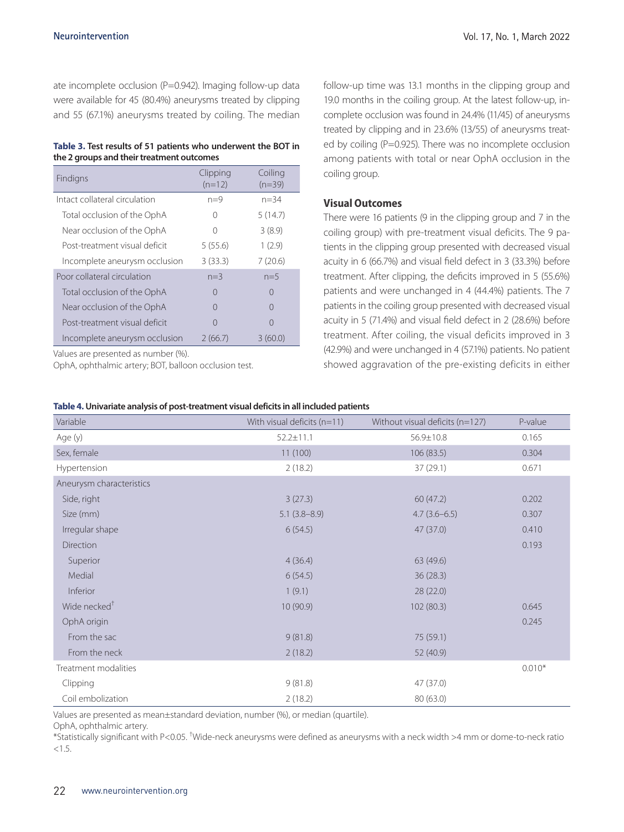ate incomplete occlusion (P=0.942). Imaging follow-up data were available for 45 (80.4%) aneurysms treated by clipping and 55 (67.1%) aneurysms treated by coiling. The median

#### **Table 3. Test results of 51 patients who underwent the BOT in the 2 groups and their treatment outcomes**

| Findigns                      | Clipping<br>$(n=12)$ | Coiling<br>$(n=39)$ |
|-------------------------------|----------------------|---------------------|
| Intact collateral circulation | $n=9$                | $n = 34$            |
| Total occlusion of the OphA   | $\bigcap$            | 5(14.7)             |
| Near occlusion of the OphA    | $\bigcap$            | 3(8.9)              |
| Post-treatment visual deficit | 5(55.6)              | 1(2.9)              |
| Incomplete aneurysm occlusion | 3(33.3)              | 7(20.6)             |
| Poor collateral circulation   | $n=3$                | $n=5$               |
| Total occlusion of the OphA   | $\bigcap$            |                     |
| Near occlusion of the OphA    | $\bigcap$            |                     |
| Post-treatment visual deficit | $\bigcap$            | $\Box$              |
| Incomplete aneurysm occlusion | 2(66.7)              | 3(60.0)             |

Values are presented as number (%).

OphA, ophthalmic artery; BOT, balloon occlusion test.

follow-up time was 13.1 months in the clipping group and 19.0 months in the coiling group. At the latest follow-up, incomplete occlusion was found in 24.4% (11/45) of aneurysms treated by clipping and in 23.6% (13/55) of aneurysms treated by coiling (P=0.925). There was no incomplete occlusion among patients with total or near OphA occlusion in the coiling group.

#### **Visual Outcomes**

There were 16 patients (9 in the clipping group and 7 in the coiling group) with pre-treatment visual deficits. The 9 patients in the clipping group presented with decreased visual acuity in 6 (66.7%) and visual field defect in 3 (33.3%) before treatment. After clipping, the deficits improved in 5 (55.6%) patients and were unchanged in 4 (44.4%) patients. The 7 patients in the coiling group presented with decreased visual acuity in 5 (71.4%) and visual field defect in 2 (28.6%) before treatment. After coiling, the visual deficits improved in 3 (42.9%) and were unchanged in 4 (57.1%) patients. No patient showed aggravation of the pre-existing deficits in either

#### **Table 4. Univariate analysis of post-treatment visual deficits in all included patients**

| Variable                 | With visual deficits $(n=11)$ | Without visual deficits (n=127) | P-value  |
|--------------------------|-------------------------------|---------------------------------|----------|
| Age (y)                  | $52.2 \pm 11.1$               | 56.9±10.8                       | 0.165    |
| Sex, female              | 11(100)                       | 106 (83.5)                      | 0.304    |
| Hypertension             | 2(18.2)                       | 37(29.1)                        | 0.671    |
| Aneurysm characteristics |                               |                                 |          |
| Side, right              | 3(27.3)                       | 60(47.2)                        | 0.202    |
| Size (mm)                | $5.1(3.8-8.9)$                | $4.7(3.6-6.5)$                  | 0.307    |
| Irregular shape          | 6(54.5)                       | 47 (37.0)                       | 0.410    |
| Direction                |                               |                                 | 0.193    |
| Superior                 | 4(36.4)                       | 63 (49.6)                       |          |
| Medial                   | 6(54.5)                       | 36(28.3)                        |          |
| Inferior                 | 1(9.1)                        | 28(22.0)                        |          |
| Wide necked <sup>+</sup> | 10(90.9)                      | 102 (80.3)                      | 0.645    |
| OphA origin              |                               |                                 | 0.245    |
| From the sac             | 9(81.8)                       | 75 (59.1)                       |          |
| From the neck            | 2(18.2)                       | 52 (40.9)                       |          |
| Treatment modalities     |                               |                                 | $0.010*$ |
| Clipping                 | 9(81.8)                       | 47 (37.0)                       |          |
| Coil embolization        | 2(18.2)                       | 80 (63.0)                       |          |

Values are presented as mean±standard deviation, number (%), or median (quartile).

OphA, ophthalmic artery.

\*Statistically significant with P<0.05. † Wide-neck aneurysms were defined as aneurysms with a neck width >4 mm or dome-to-neck ratio  $< 1.5.$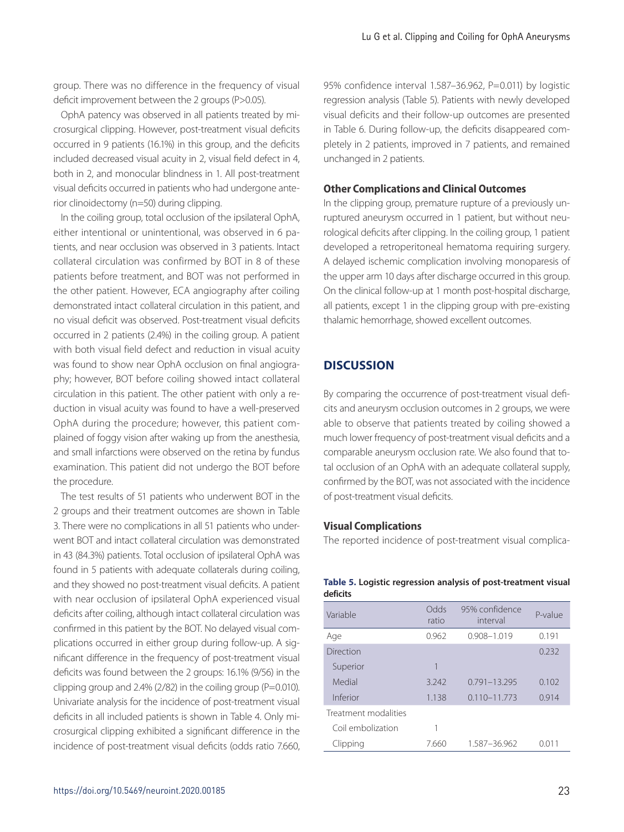group. There was no difference in the frequency of visual deficit improvement between the 2 groups (P>0.05).

OphA patency was observed in all patients treated by microsurgical clipping. However, post-treatment visual deficits occurred in 9 patients (16.1%) in this group, and the deficits included decreased visual acuity in 2, visual field defect in 4, both in 2, and monocular blindness in 1. All post-treatment visual deficits occurred in patients who had undergone anterior clinoidectomy (n=50) during clipping.

In the coiling group, total occlusion of the ipsilateral OphA, either intentional or unintentional, was observed in 6 patients, and near occlusion was observed in 3 patients. Intact collateral circulation was confirmed by BOT in 8 of these patients before treatment, and BOT was not performed in the other patient. However, ECA angiography after coiling demonstrated intact collateral circulation in this patient, and no visual deficit was observed. Post-treatment visual deficits occurred in 2 patients (2.4%) in the coiling group. A patient with both visual field defect and reduction in visual acuity was found to show near OphA occlusion on final angiography; however, BOT before coiling showed intact collateral circulation in this patient. The other patient with only a reduction in visual acuity was found to have a well-preserved OphA during the procedure; however, this patient complained of foggy vision after waking up from the anesthesia, and small infarctions were observed on the retina by fundus examination. This patient did not undergo the BOT before the procedure.

The test results of 51 patients who underwent BOT in the 2 groups and their treatment outcomes are shown in Table 3. There were no complications in all 51 patients who underwent BOT and intact collateral circulation was demonstrated in 43 (84.3%) patients. Total occlusion of ipsilateral OphA was found in 5 patients with adequate collaterals during coiling, and they showed no post-treatment visual deficits. A patient with near occlusion of ipsilateral OphA experienced visual deficits after coiling, although intact collateral circulation was confirmed in this patient by the BOT. No delayed visual complications occurred in either group during follow-up. A significant difference in the frequency of post-treatment visual deficits was found between the 2 groups: 16.1% (9/56) in the clipping group and  $2.4\%$  ( $2/82$ ) in the coiling group ( $P=0.010$ ). Univariate analysis for the incidence of post-treatment visual deficits in all included patients is shown in Table 4. Only microsurgical clipping exhibited a significant difference in the incidence of post-treatment visual deficits (odds ratio 7.660, 95% confidence interval 1.587–36.962, P=0.011) by logistic regression analysis (Table 5). Patients with newly developed visual deficits and their follow-up outcomes are presented in Table 6. During follow-up, the deficits disappeared completely in 2 patients, improved in 7 patients, and remained unchanged in 2 patients.

### **Other Complications and Clinical Outcomes**

In the clipping group, premature rupture of a previously unruptured aneurysm occurred in 1 patient, but without neurological deficits after clipping. In the coiling group, 1 patient developed a retroperitoneal hematoma requiring surgery. A delayed ischemic complication involving monoparesis of the upper arm 10 days after discharge occurred in this group. On the clinical follow-up at 1 month post-hospital discharge, all patients, except 1 in the clipping group with pre-existing thalamic hemorrhage, showed excellent outcomes.

## **DISCUSSION**

By comparing the occurrence of post-treatment visual deficits and aneurysm occlusion outcomes in 2 groups, we were able to observe that patients treated by coiling showed a much lower frequency of post-treatment visual deficits and a comparable aneurysm occlusion rate. We also found that total occlusion of an OphA with an adequate collateral supply, confirmed by the BOT, was not associated with the incidence of post-treatment visual deficits.

#### **Visual Complications**

The reported incidence of post-treatment visual complica-

#### **Table 5. Logistic regression analysis of post-treatment visual deficits**

| Variable             | Odds<br>ratio | 95% confidence<br>interval | P-value |
|----------------------|---------------|----------------------------|---------|
| Age                  | 0.962         | $0.908 - 1.019$            | 0.191   |
| Direction            |               |                            | 0.232   |
| Superior             | 1             |                            |         |
| Medial               | 3.242         | $0.791 - 13.295$           | 0.102   |
| Inferior             | 1.138         | $0.110 - 11.773$           | 0.914   |
| Treatment modalities |               |                            |         |
| Coil embolization    | 1             |                            |         |
| Clipping             | 7.660         | 1.587-36.962               | 0.011   |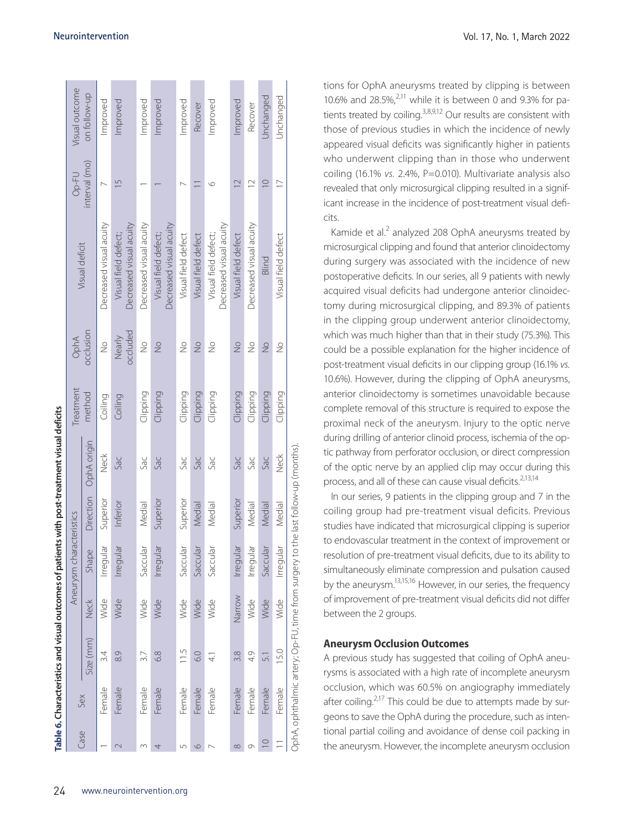|                          |        |                                                                                   |               |                          |           | Table 6. Characteristics and visual outcomes of patients with post-treatment visual deficits |           |                    |                                                 |               |                |
|--------------------------|--------|-----------------------------------------------------------------------------------|---------------|--------------------------|-----------|----------------------------------------------------------------------------------------------|-----------|--------------------|-------------------------------------------------|---------------|----------------|
|                          |        |                                                                                   |               | Aneurysm characteristics |           |                                                                                              | Treatment | OphA               |                                                 | Op-FU         | Visual outcome |
| Case                     | Sex    | Size (mm)                                                                         | <b>Neck</b>   | Shape                    | Direction | OphA origin                                                                                  | method    | occlusion          | Visual deficit                                  | interval (mo) | on follow-up   |
|                          | Female | 34                                                                                | Wide          | Irregular                | Superior  | Neck                                                                                         | Coiling   | $\frac{1}{2}$      | Decreased visual acuity                         |               | Improved       |
| $\sim$                   | Female | 8.9                                                                               | Wide          | Irregula                 | Inferior  | Sac                                                                                          | Coiling   | pepnloac<br>Nearly | Decreased visual acuity<br>Visual field defect; | 5             | Improved       |
| S                        | Female | 3.7                                                                               | Wide          | Saccular                 | Medial    | Sac                                                                                          | Clipping  | $\frac{0}{2}$      | Decreased visual acuity                         |               | Improved       |
| 4                        | Female | 6.8                                                                               | Wide          | Irregular                | Superior  | Sac                                                                                          | Clipping  | $\frac{1}{2}$      | Decreased visual acuity<br>Visual field defect; |               | Improved       |
| 5                        | Female | 115                                                                               | Wide          | Saccular                 | Superior  | Sac                                                                                          | Clipping  | $\frac{0}{2}$      | Visual field defect                             |               | Improved       |
| 6                        | Female | 0.0                                                                               | Wide          | Saccula                  | Medial    | Sac                                                                                          | Clipping  | $\frac{1}{2}$      | Visual field defect                             |               | Recover        |
|                          | Female | $\frac{1}{4}$                                                                     | Wide          | Saccula                  | Medial    | Sac                                                                                          | Clipping  | $\frac{0}{2}$      | Decreased visual acuity<br>Visual field defect; |               | Improved       |
| $\infty$                 | Female | 3.8                                                                               | <b>Narrow</b> | Irregular                | Superior  | Sac                                                                                          | Clipping  | $\frac{1}{2}$      | Visual field defect                             |               | Improved       |
| Ō                        | Female | 4.9                                                                               | Wide          | Irregular                | Medial    | Sac                                                                                          | Clipping  | $\frac{1}{2}$      | Decreased visual acuity                         | $\supseteq$   | Recover        |
| $\overline{\phantom{0}}$ | Female | 5.1                                                                               | Wide          | Saccular                 | Medial    | Sac                                                                                          | Clipping  | $\frac{1}{2}$      | Blind                                           | $\supseteq$   | Unchanged      |
|                          | Female | 15.0                                                                              | Wide          | Irregular                | Medial    | Neck                                                                                         | Clipping  | $\frac{1}{2}$      | Visual field defect                             |               | Unchanged      |
|                          |        | OphA, ophthalmic artery; Op-FU, time from surgery to the last follow-up (months). |               |                          |           |                                                                                              |           |                    |                                                 |               |                |

tions for OphA aneurysms treated by clipping is between 10.6% and 28.5%, $^{2,11}$  while it is between 0 and 9.3% for patients treated by coiling.<sup>3,8,9,12</sup> Our results are consistent with those of previous studies in which the incidence of newly appeared visual deficits was significantly higher in patients who underwent clipping than in those who underwent coiling (16.1% *vs.* 2.4%, P=0.010). Multivariate analysis also revealed that only microsurgical clipping resulted in a significant increase in the incidence of post-treatment visual deficits.

Kamide et al.<sup>2</sup> analyzed 208 OphA aneurysms treated by microsurgical clipping and found that anterior clinoidectomy during surgery was associated with the incidence of new postoperative deficits. In our series, all 9 patients with newly acquired visual deficits had undergone anterior clinoidec tomy during microsurgical clipping, and 89.3% of patients in the clipping group underwent anterior clinoidectomy, which was much higher than that in their study (75.3%). This could be a possible explanation for the higher incidence of post-treatment visual deficits in our clipping group (16.1% *vs.* 10.6%). However, during the clipping of OphA aneurysms, anterior clinoidectomy is sometimes unavoidable because complete removal of this structure is required to expose the proximal neck of the aneurysm. Injury to the optic nerve during drilling of anterior clinoid process, ischemia of the op tic pathway from perforator occlusion, or direct compression of the optic nerve by an applied clip may occur during this process, and all of these can cause visual deficits.<sup>2,13,14</sup>

In our series, 9 patients in the clipping group and 7 in the coiling group had pre-treatment visual deficits. Previous studies have indicated that microsurgical clipping is superior to endovascular treatment in the context of improvement or resolution of pre-treatment visual deficits, due to its ability to simultaneously eliminate compression and pulsation caused by the aneurysm.<sup>13,15,16</sup> However, in our series, the frequency of improvement of pre-treatment visual deficits did not differ between the 2 groups.

#### **Aneurysm Occlusion Outcomes**

A previous study has suggested that coiling of OphA aneu rysms is associated with a high rate of incomplete aneurysm occlusion, which was 60.5% on angiography immediately after coiling.<sup>2,17</sup> This could be due to attempts made by surgeons to save the OphA during the procedure, such as inten tional partial coiling and avoidance of dense coil packing in the aneurysm. However, the incomplete aneurysm occlusion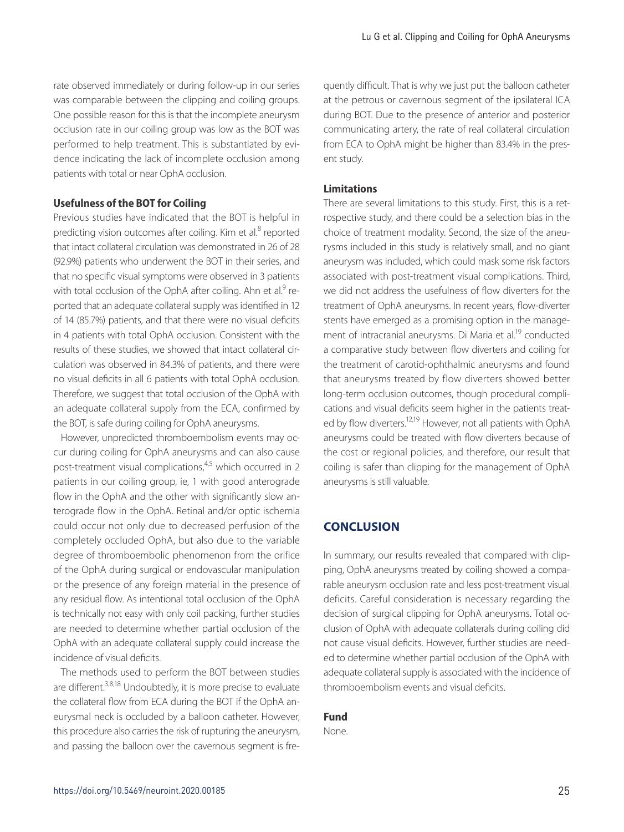rate observed immediately or during follow-up in our series was comparable between the clipping and coiling groups. One possible reason for this is that the incomplete aneurysm occlusion rate in our coiling group was low as the BOT was performed to help treatment. This is substantiated by evidence indicating the lack of incomplete occlusion among patients with total or near OphA occlusion.

### **Usefulness of the BOT for Coiling**

Previous studies have indicated that the BOT is helpful in predicting vision outcomes after coiling. Kim et al.<sup>8</sup> reported that intact collateral circulation was demonstrated in 26 of 28 (92.9%) patients who underwent the BOT in their series, and that no specific visual symptoms were observed in 3 patients with total occlusion of the OphA after coiling. Ahn et al.<sup>9</sup> reported that an adequate collateral supply was identified in 12 of 14 (85.7%) patients, and that there were no visual deficits in 4 patients with total OphA occlusion. Consistent with the results of these studies, we showed that intact collateral circulation was observed in 84.3% of patients, and there were no visual deficits in all 6 patients with total OphA occlusion. Therefore, we suggest that total occlusion of the OphA with an adequate collateral supply from the ECA, confirmed by the BOT, is safe during coiling for OphA aneurysms.

However, unpredicted thromboembolism events may occur during coiling for OphA aneurysms and can also cause post-treatment visual complications,<sup>4,5</sup> which occurred in 2 patients in our coiling group, ie, 1 with good anterograde flow in the OphA and the other with significantly slow anterograde flow in the OphA. Retinal and/or optic ischemia could occur not only due to decreased perfusion of the completely occluded OphA, but also due to the variable degree of thromboembolic phenomenon from the orifice of the OphA during surgical or endovascular manipulation or the presence of any foreign material in the presence of any residual flow. As intentional total occlusion of the OphA is technically not easy with only coil packing, further studies are needed to determine whether partial occlusion of the OphA with an adequate collateral supply could increase the incidence of visual deficits.

The methods used to perform the BOT between studies are different.<sup>3,8,18</sup> Undoubtedly, it is more precise to evaluate the collateral flow from ECA during the BOT if the OphA aneurysmal neck is occluded by a balloon catheter. However, this procedure also carries the risk of rupturing the aneurysm, and passing the balloon over the cavernous segment is frequently difficult. That is why we just put the balloon catheter at the petrous or cavernous segment of the ipsilateral ICA during BOT. Due to the presence of anterior and posterior communicating artery, the rate of real collateral circulation from ECA to OphA might be higher than 83.4% in the present study.

### **Limitations**

There are several limitations to this study. First, this is a retrospective study, and there could be a selection bias in the choice of treatment modality. Second, the size of the aneurysms included in this study is relatively small, and no giant aneurysm was included, which could mask some risk factors associated with post-treatment visual complications. Third, we did not address the usefulness of flow diverters for the treatment of OphA aneurysms. In recent years, flow-diverter stents have emerged as a promising option in the management of intracranial aneurysms. Di Maria et al.<sup>19</sup> conducted a comparative study between flow diverters and coiling for the treatment of carotid-ophthalmic aneurysms and found that aneurysms treated by flow diverters showed better long-term occlusion outcomes, though procedural complications and visual deficits seem higher in the patients treated by flow diverters.<sup>12,19</sup> However, not all patients with OphA aneurysms could be treated with flow diverters because of the cost or regional policies, and therefore, our result that coiling is safer than clipping for the management of OphA aneurysms is still valuable.

### **CONCLUSION**

In summary, our results revealed that compared with clipping, OphA aneurysms treated by coiling showed a comparable aneurysm occlusion rate and less post-treatment visual deficits. Careful consideration is necessary regarding the decision of surgical clipping for OphA aneurysms. Total occlusion of OphA with adequate collaterals during coiling did not cause visual deficits. However, further studies are needed to determine whether partial occlusion of the OphA with adequate collateral supply is associated with the incidence of thromboembolism events and visual deficits.

### **Fund**

None.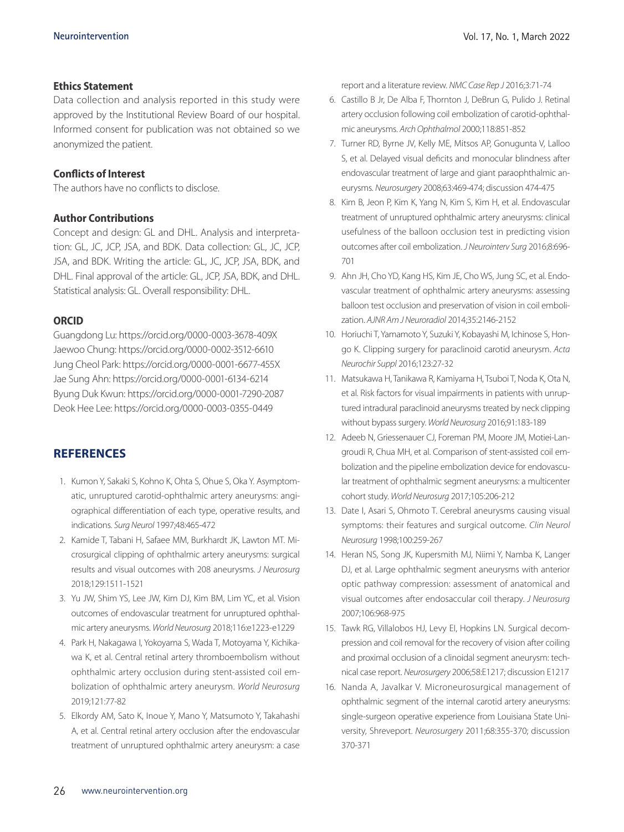#### **Ethics Statement**

Data collection and analysis reported in this study were approved by the Institutional Review Board of our hospital. Informed consent for publication was not obtained so we anonymized the patient.

### **Conflicts of Interest**

The authors have no conflicts to disclose.

### **Author Contributions**

Concept and design: GL and DHL. Analysis and interpretation: GL, JC, JCP, JSA, and BDK. Data collection: GL, JC, JCP, JSA, and BDK. Writing the article: GL, JC, JCP, JSA, BDK, and DHL. Final approval of the article: GL, JCP, JSA, BDK, and DHL. Statistical analysis: GL. Overall responsibility: DHL.

### **ORCID**

Guangdong Lu: https://orcid.org/0000-0003-3678-409X Jaewoo Chung: https://orcid.org/0000-0002-3512-6610 Jung Cheol Park: https://orcid.org/0000-0001-6677-455X Jae Sung Ahn: https://orcid.org/0000-0001-6134-6214 Byung Duk Kwun: https://orcid.org/0000-0001-7290-2087 Deok Hee Lee: https://orcid.org/0000-0003-0355-0449

## **REFERENCES**

- 1. Kumon Y, Sakaki S, Kohno K, Ohta S, Ohue S, Oka Y. Asymptomatic, unruptured carotid-ophthalmic artery aneurysms: angiographical differentiation of each type, operative results, and indications. *Surg Neurol* 1997;48:465-472
- 2. Kamide T, Tabani H, Safaee MM, Burkhardt JK, Lawton MT. Microsurgical clipping of ophthalmic artery aneurysms: surgical results and visual outcomes with 208 aneurysms. *J Neurosurg* 2018;129:1511-1521
- 3. Yu JW, Shim YS, Lee JW, Kim DJ, Kim BM, Lim YC, et al. Vision outcomes of endovascular treatment for unruptured ophthalmic artery aneurysms. *World Neurosurg* 2018;116:e1223-e1229
- 4. Park H, Nakagawa I, Yokoyama S, Wada T, Motoyama Y, Kichikawa K, et al. Central retinal artery thromboembolism without ophthalmic artery occlusion during stent-assisted coil embolization of ophthalmic artery aneurysm. *World Neurosurg* 2019;121:77-82
- 5. Elkordy AM, Sato K, Inoue Y, Mano Y, Matsumoto Y, Takahashi A, et al. Central retinal artery occlusion after the endovascular treatment of unruptured ophthalmic artery aneurysm: a case

report and a literature review. *NMC Case Rep J* 2016;3:71-74

- 6. Castillo B Jr, De Alba F, Thornton J, DeBrun G, Pulido J. Retinal artery occlusion following coil embolization of carotid-ophthalmic aneurysms. *Arch Ophthalmol* 2000;118:851-852
- 7. Turner RD, Byrne JV, Kelly ME, Mitsos AP, Gonugunta V, Lalloo S, et al. Delayed visual deficits and monocular blindness after endovascular treatment of large and giant paraophthalmic aneurysms. *Neurosurgery* 2008;63:469-474; discussion 474-475
- 8. Kim B, Jeon P, Kim K, Yang N, Kim S, Kim H, et al. Endovascular treatment of unruptured ophthalmic artery aneurysms: clinical usefulness of the balloon occlusion test in predicting vision outcomes after coil embolization. *J Neurointerv Surg* 2016;8:696- 701
- 9. Ahn JH, Cho YD, Kang HS, Kim JE, Cho WS, Jung SC, et al. Endovascular treatment of ophthalmic artery aneurysms: assessing balloon test occlusion and preservation of vision in coil embolization. *AJNR Am J Neuroradiol* 2014;35:2146-2152
- 10. Horiuchi T, Yamamoto Y, Suzuki Y, Kobayashi M, Ichinose S, Hongo K. Clipping surgery for paraclinoid carotid aneurysm. *Acta Neurochir Suppl* 2016;123:27-32
- 11. Matsukawa H, Tanikawa R, Kamiyama H, Tsuboi T, Noda K, Ota N, et al. Risk factors for visual impairments in patients with unruptured intradural paraclinoid aneurysms treated by neck clipping without bypass surgery. *World Neurosurg* 2016;91:183-189
- 12. Adeeb N, Griessenauer CJ, Foreman PM, Moore JM, Motiei-Langroudi R, Chua MH, et al. Comparison of stent-assisted coil embolization and the pipeline embolization device for endovascular treatment of ophthalmic segment aneurysms: a multicenter cohort study. *World Neurosurg* 2017;105:206-212
- 13. Date I, Asari S, Ohmoto T. Cerebral aneurysms causing visual symptoms: their features and surgical outcome. *Clin Neurol Neurosurg* 1998;100:259-267
- 14. Heran NS, Song JK, Kupersmith MJ, Niimi Y, Namba K, Langer DJ, et al. Large ophthalmic segment aneurysms with anterior optic pathway compression: assessment of anatomical and visual outcomes after endosaccular coil therapy. *J Neurosurg* 2007;106:968-975
- 15. Tawk RG, Villalobos HJ, Levy EI, Hopkins LN. Surgical decompression and coil removal for the recovery of vision after coiling and proximal occlusion of a clinoidal segment aneurysm: technical case report. *Neurosurgery* 2006;58:E1217; discussion E1217
- 16. Nanda A, Javalkar V. Microneurosurgical management of ophthalmic segment of the internal carotid artery aneurysms: single-surgeon operative experience from Louisiana State University, Shreveport. *Neurosurgery* 2011;68:355-370; discussion 370-371